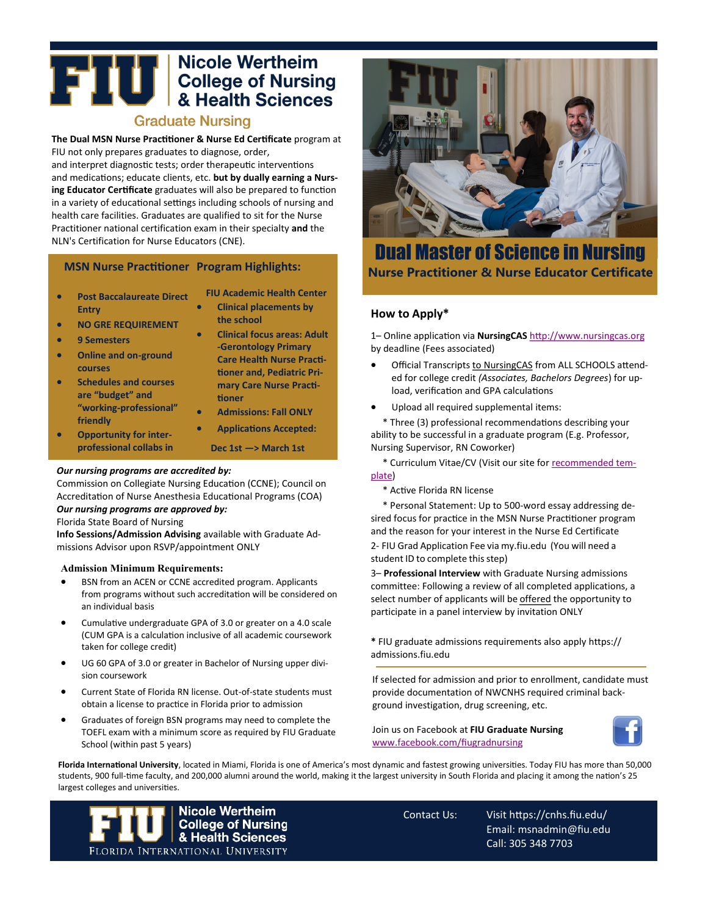# **THE READER OF SCHOOLS ASSESS**<br>**EXAMPLE THE READER OF SCIENCES**<br>**READER ASSESS**

## **Graduate Nursing**

**The Dual MSN Nurse Practitioner & Nurse Ed Certificate** program at FIU not only prepares graduates to diagnose, order, and interpret diagnostic tests; order therapeutic interventions and medications; educate clients, etc. **but by dually earning a Nursing Educator Certificate** graduates will also be prepared to function in a variety of educational settings including schools of nursing and health care facilities. Graduates are qualified to sit for the Nurse Practitioner national certification exam in their specialty **and** the NLN's Certification for Nurse Educators (CNE).

## **MSN Nurse Practitioner Program Highlights:**

- **Post Baccalaureate Direct Entry**
- **NO GRE REQUIREMENT**
- **9 Semesters**
- **Online and on-ground courses**
- **Schedules and courses are "budget" and "working-professional" friendly**
- **Opportunity for interprofessional collabs in**
- **FIU Academic Health Center**
- **Clinical placements by the school**
- **Clinical focus areas: Adult -Gerontology Primary Care Health Nurse Practitioner and, Pediatric Primary Care Nurse Practitioner**
- **Admissions: Fall ONLY**
- **Applications Accepted:**

**Dec 1st —> March 1st**

#### *Our nursing programs are accredited by:*

Commission on Collegiate Nursing Education (CCNE); Council on Accreditation of Nurse Anesthesia Educational Programs (COA) *Our nursing programs are approved by:*

## Florida State Board of Nursing

**Info Sessions/Admission Advising** available with Graduate Admissions Advisor upon RSVP/appointment ONLY

#### **Admission Minimum Requirements:**

- BSN from an ACEN or CCNE accredited program. Applicants from programs without such accreditation will be considered on an individual basis
- Cumulative undergraduate GPA of 3.0 or greater on a 4.0 scale (CUM GPA is a calculation inclusive of all academic coursework taken for college credit)
- UG 60 GPA of 3.0 or greater in Bachelor of Nursing upper division coursework
- Current State of Florida RN license. Out-of-state students must obtain a license to practice in Florida prior to admission
- Graduates of foreign BSN programs may need to complete the TOEFL exam with a minimum score as required by FIU Graduate School (within past 5 years)



## Dual Master of Science in Nursing **Nurse Practitioner & Nurse Educator Certificate**

## **How to Apply\***

1– Online application via **NursingCAS** <http://www.nursingcas.org> by deadline (Fees associated)

- Official Transcripts to NursingCAS from ALL SCHOOLS attended for college credit *(Associates, Bachelors Degrees*) for upload, verification and GPA calculations
- Upload all required supplemental items:

\* Three (3) professional recommendations describing your ability to be successful in a graduate program (E.g. Professor, Nursing Supervisor, RN Coworker)

\* Curriculum Vitae/CV (Visit our site for [recommended tem](https://cnhs.fiu.edu/academics/nursing/graduate-nursing/programs/msn-nurse-educator/index.html)[plate\)](https://cnhs.fiu.edu/academics/nursing/graduate-nursing/programs/msn-nurse-educator/index.html)

\* Active Florida RN license

\* Personal Statement: Up to 500-word essay addressing desired focus for practice in the MSN Nurse Practitioner program and the reason for your interest in the Nurse Ed Certificate

2- FIU Grad Application Fee via my.fiu.edu (You will need a student ID to complete this step)

3– **Professional Interview** with Graduate Nursing admissions committee: Following a review of all completed applications, a select number of applicants will be offered the opportunity to participate in a panel interview by invitation ONLY

**\*** FIU graduate admissions requirements also apply https:// admissions.fiu.edu

If selected for admission and prior to enrollment, candidate must provide documentation of NWCNHS required criminal background investigation, drug screening, etc.

Join us on Facebook at **FIU Graduate Nursing**  [www.facebook.com/fiugradnursing](http://www.facebook.com/fiugradnursing)



**Florida International University**, located in Miami, Florida is one of America's most dynamic and fastest growing universities. Today FIU has more than 50,000 students, 900 full-time faculty, and 200,000 alumni around the world, making it the largest university in South Florida and placing it among the nation's 25 largest colleges and universities.



Contact Us: Visit https://cnhs.fiu.edu/ Email: msnadmin@fiu.edu Call: 305 348 7703